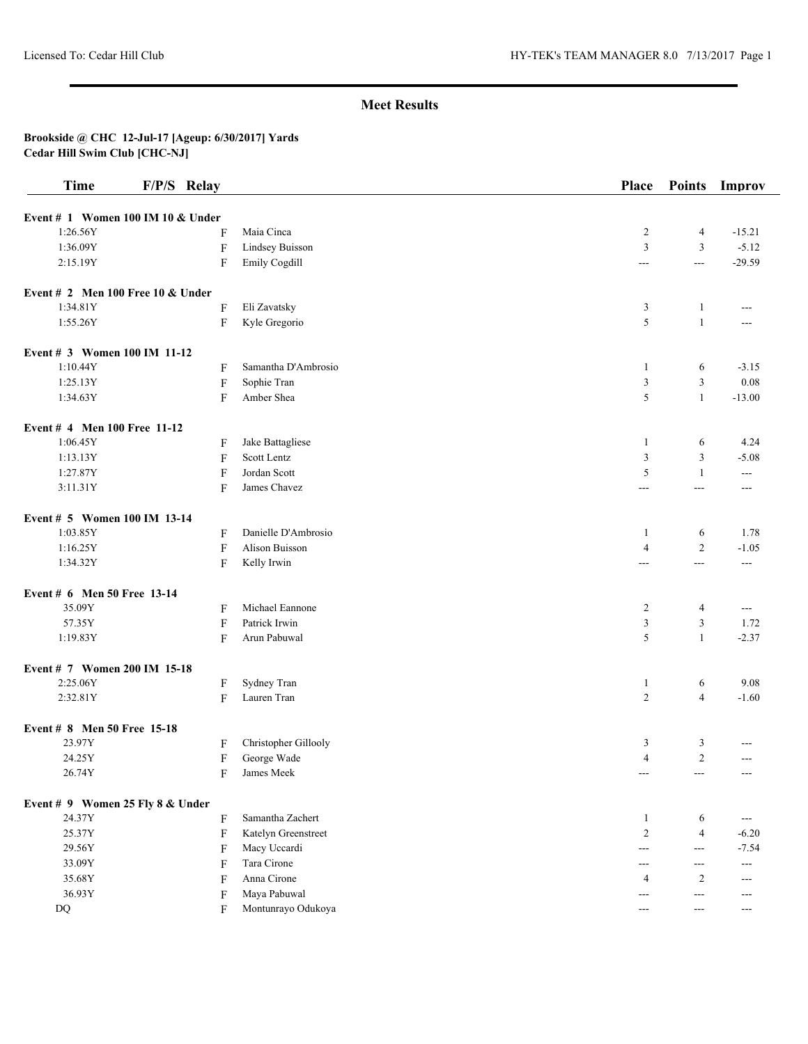| <b>Time</b>                      | F/P/S Relay                         |                      | Place                 | <b>Points</b>  | Improv   |
|----------------------------------|-------------------------------------|----------------------|-----------------------|----------------|----------|
|                                  | Event # $1$ Women 100 IM 10 & Under |                      |                       |                |          |
| 1:26.56Y                         | F                                   | Maia Cinca           | $\overline{c}$        | $\overline{4}$ | $-15.21$ |
| 1:36.09Y                         | $\boldsymbol{\mathrm{F}}$           | Lindsey Buisson      | $\mathfrak{Z}$        | $\mathfrak{Z}$ | $-5.12$  |
| 2:15.19Y                         | F                                   | Emily Cogdill        | $\overline{a}$        | $\overline{a}$ | $-29.59$ |
|                                  | Event # 2 Men 100 Free 10 $&$ Under |                      |                       |                |          |
| 1:34.81Y                         | F                                   | Eli Zavatsky         | 3                     | 1              | $---$    |
| 1:55.26Y                         | F                                   | Kyle Gregorio        | 5                     | $\mathbf{1}$   | ---      |
| Event # 3 Women 100 IM 11-12     |                                     |                      |                       |                |          |
| 1:10.44Y                         | F                                   | Samantha D'Ambrosio  | 1                     | 6              | $-3.15$  |
| 1:25.13Y                         | F                                   | Sophie Tran          | $\mathfrak{Z}$        | $\mathfrak{Z}$ | 0.08     |
| 1:34.63Y                         | F                                   | Amber Shea           | 5                     | $\mathbf{1}$   | $-13.00$ |
| Event # 4 Men 100 Free 11-12     |                                     |                      |                       |                |          |
| 1:06.45Y                         | F                                   | Jake Battagliese     | 1                     | 6              | 4.24     |
| 1:13.13Y                         | F                                   | Scott Lentz          | $\mathfrak{Z}$        | 3              | $-5.08$  |
| 1:27.87Y                         | F                                   | Jordan Scott         | 5                     | 1              | ---      |
| 3:11.31Y                         | F                                   | James Chavez         | $\scriptstyle \cdots$ | $---$          | $---$    |
| Event # 5 Women 100 IM 13-14     |                                     |                      |                       |                |          |
| 1:03.85Y                         | F                                   | Danielle D'Ambrosio  | 1                     | 6              | 1.78     |
| 1:16.25Y                         | $\boldsymbol{\mathrm{F}}$           | Alison Buisson       | $\overline{4}$        | $\overline{2}$ | $-1.05$  |
| 1:34.32Y                         | F                                   | Kelly Irwin          | $\overline{a}$        | $\overline{a}$ | $---$    |
| Event # 6 Men 50 Free 13-14      |                                     |                      |                       |                |          |
| 35.09Y                           | F                                   | Michael Eannone      | $\overline{c}$        | $\overline{4}$ | ---      |
| 57.35Y                           | F                                   | Patrick Irwin        | $\mathfrak{Z}$        | 3              | 1.72     |
| 1:19.83Y                         | F                                   | Arun Pabuwal         | 5                     | $\mathbf{1}$   | $-2.37$  |
| Event # 7 Women 200 IM 15-18     |                                     |                      |                       |                |          |
| 2:25.06Y                         | F                                   | Sydney Tran          | $\mathbf{1}$          | 6              | 9.08     |
| 2:32.81Y                         | F                                   | Lauren Tran          | $\overline{2}$        | $\overline{4}$ | $-1.60$  |
| Event # 8 Men 50 Free 15-18      |                                     |                      |                       |                |          |
| 23.97Y                           | F                                   | Christopher Gillooly | 3                     | 3              |          |
| 24.25Y                           | F                                   | George Wade          | $\overline{4}$        | $\overline{2}$ | ---      |
| 26.74Y                           | F                                   | James Meek           | $---$                 | ---            | ---      |
| Event # 9 Women 25 Fly 8 & Under |                                     |                      |                       |                |          |
| 24.37Y                           | F                                   | Samantha Zachert     | 1                     | 6              | $---$    |
| 25.37Y                           | F                                   | Katelyn Greenstreet  | $\overline{2}$        | $\overline{4}$ | $-6.20$  |
| 29.56Y                           | F                                   | Macy Uccardi         | ---                   | ---            | $-7.54$  |
| 33.09Y                           | F                                   | Tara Cirone          | $---$                 | $---$          | $---$    |
| 35.68Y                           | F                                   | Anna Cirone          | 4                     | $\overline{c}$ | $---$    |
| 36.93Y                           | F                                   | Maya Pabuwal         | ---                   | ---            | ---      |
| DQ                               | F                                   | Montunrayo Odukoya   | $---$                 | $---$          | ---      |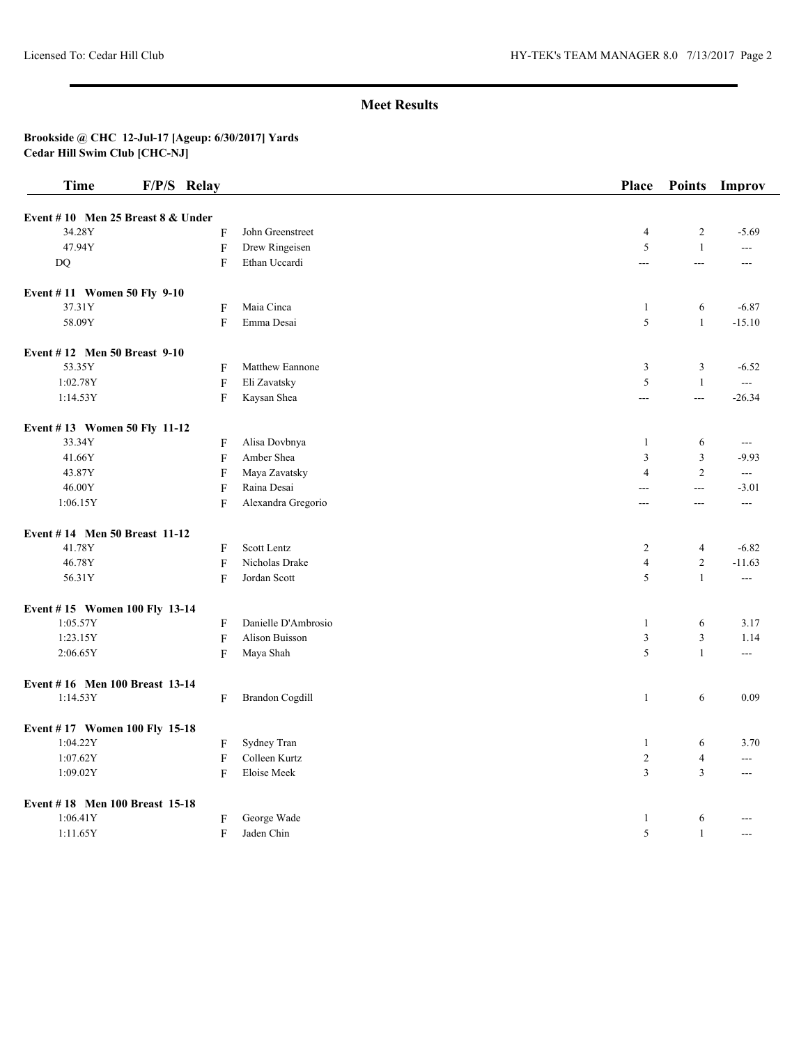| <b>Time</b>                         | F/P/S Relay               |                        | Place          | <b>Points</b>  | Improv              |
|-------------------------------------|---------------------------|------------------------|----------------|----------------|---------------------|
| Event #10 Men 25 Breast $8 &$ Under |                           |                        |                |                |                     |
| 34.28Y                              | F                         | John Greenstreet       | $\overline{4}$ | $\overline{c}$ | $-5.69$             |
| 47.94Y                              | ${\bf F}$                 | Drew Ringeisen         | 5              | $\mathbf{1}$   | $---$               |
| DQ                                  | F                         | Ethan Uccardi          | ---            | $\overline{a}$ | $ -$                |
| Event #11 Women 50 Fly 9-10         |                           |                        |                |                |                     |
| 37.31Y                              | F                         | Maia Cinca             | $\mathbf{1}$   | 6              | $-6.87$             |
| 58.09Y                              | F                         | Emma Desai             | $\sqrt{5}$     | $\mathbf{1}$   | $-15.10$            |
| Event #12 Men 50 Breast 9-10        |                           |                        |                |                |                     |
| 53.35Y                              | F                         | Matthew Eannone        | $\mathfrak{Z}$ | 3              | $-6.52$             |
| 1:02.78Y                            | $\mathbf F$               | Eli Zavatsky           | 5              | $\mathbf{1}$   | $\sim$ $\sim$       |
| 1:14.53Y                            | F                         | Kaysan Shea            | $\overline{a}$ | $\overline{a}$ | $-26.34$            |
| Event #13 Women 50 Fly 11-12        |                           |                        |                |                |                     |
| 33.34Y                              | F                         | Alisa Dovbnya          | 1              | 6              | $\qquad \qquad - -$ |
| 41.66Y                              | $\boldsymbol{\mathrm{F}}$ | Amber Shea             | $\mathfrak{Z}$ | 3              | $-9.93$             |
| 43.87Y                              | $\boldsymbol{\mathrm{F}}$ | Maya Zavatsky          | $\overline{4}$ | $\sqrt{2}$     | $\overline{a}$      |
| 46.00Y                              | F                         | Raina Desai            | $\overline{a}$ | $\overline{a}$ | $-3.01$             |
| 1:06.15Y                            | F                         | Alexandra Gregorio     | $\overline{a}$ | $\overline{a}$ | $\overline{a}$      |
| Event #14 Men 50 Breast 11-12       |                           |                        |                |                |                     |
| 41.78Y                              | F                         | Scott Lentz            | $\overline{2}$ | $\overline{4}$ | $-6.82$             |
| 46.78Y                              | $\mathbf F$               | Nicholas Drake         | $\overline{4}$ | $\overline{2}$ | $-11.63$            |
| 56.31Y                              | F                         | Jordan Scott           | 5              | $\mathbf{1}$   | $\overline{a}$      |
| Event #15 Women 100 Fly 13-14       |                           |                        |                |                |                     |
| 1:05.57Y                            | F                         | Danielle D'Ambrosio    | $\mathbf{1}$   | 6              | 3.17                |
| 1:23.15Y                            | $\boldsymbol{\mathrm{F}}$ | Alison Buisson         | $\mathfrak{Z}$ | $\mathfrak z$  | 1.14                |
| 2:06.65Y                            | F                         | Maya Shah              | 5              | $\mathbf{1}$   | ---                 |
| Event #16 Men 100 Breast 13-14      |                           |                        |                |                |                     |
| 1:14.53Y                            | F                         | <b>Brandon Cogdill</b> | $\mathbf{1}$   | 6              | 0.09                |
| Event #17 Women 100 Fly 15-18       |                           |                        |                |                |                     |
| 1:04.22Y                            | F                         | Sydney Tran            | $\mathbf{1}$   | 6              | 3.70                |
| 1:07.62Y                            | $\mathbf F$               | Colleen Kurtz          | $\overline{2}$ | $\overline{4}$ | ---                 |
| 1:09.02Y                            | F                         | Eloise Meek            | $\overline{3}$ | 3              | ---                 |
| Event #18 Men 100 Breast 15-18      |                           |                        |                |                |                     |
| 1:06.41Y                            | F                         | George Wade            | $\mathbf{1}$   | 6              |                     |
| 1:11.65Y                            | ${\rm F}$                 | Jaden Chin             | 5              | $\mathbf{1}$   |                     |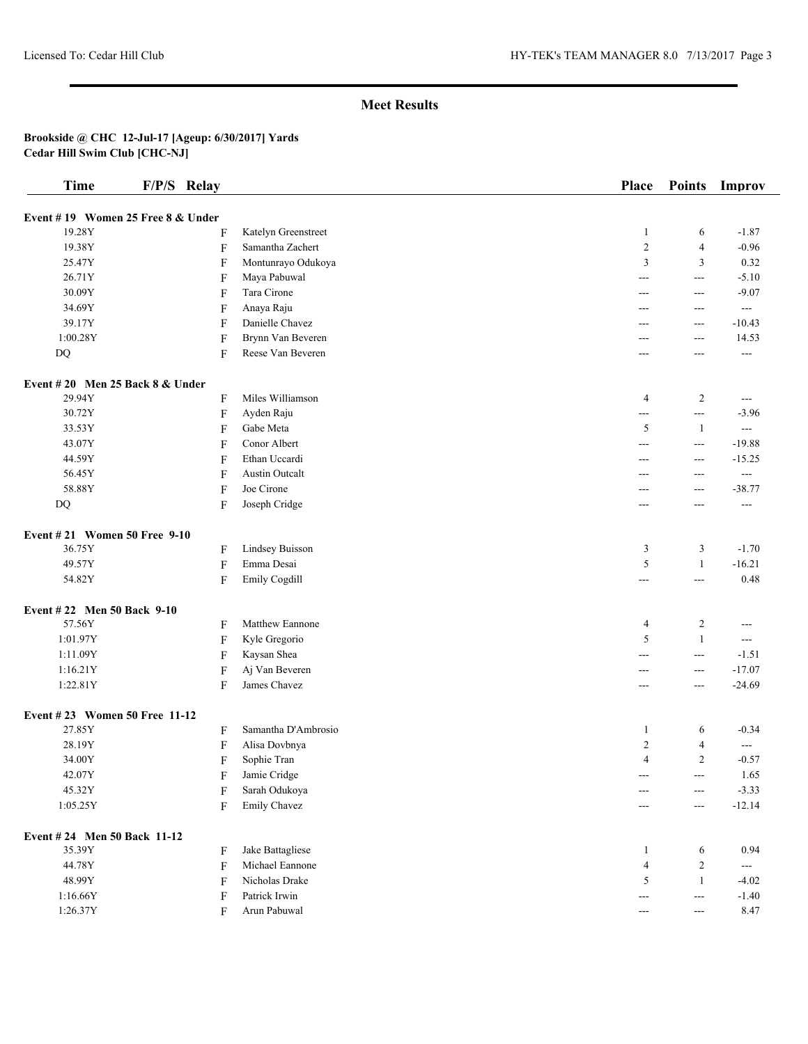| <b>Time</b>                       | F/P/S Relay                       |                        | Place          | <b>Points</b>                          | Improv                |
|-----------------------------------|-----------------------------------|------------------------|----------------|----------------------------------------|-----------------------|
|                                   | Event #19 Women 25 Free 8 & Under |                        |                |                                        |                       |
| 19.28Y                            | F                                 | Katelyn Greenstreet    | $\mathbf{1}$   | 6                                      | $-1.87$               |
| 19.38Y                            | $\boldsymbol{\mathrm{F}}$         | Samantha Zachert       | $\sqrt{2}$     | $\overline{4}$                         | $-0.96$               |
| 25.47Y                            | F                                 | Montunrayo Odukoya     | $\overline{3}$ | 3                                      | 0.32                  |
| 26.71Y                            | F                                 | Maya Pabuwal           | ---            | $\sim$ $\sim$                          | $-5.10$               |
| 30.09Y                            | F                                 | Tara Cirone            | ---            | $\scriptstyle \cdots$                  | $-9.07$               |
| 34.69Y                            | F                                 | Anaya Raju             | ---            | ---                                    | $\qquad \qquad - -$   |
| 39.17Y                            | F                                 | Danielle Chavez        | ---            | $\scriptstyle \cdots$                  | $-10.43$              |
| 1:00.28Y                          | $\boldsymbol{\mathrm{F}}$         | Brynn Van Beveren      | ---            | $--$                                   | 14.53                 |
| DQ                                | F                                 | Reese Van Beveren      | ---            | ---                                    | $\sim$ $\sim$         |
| Event #20 Men 25 Back $8 &$ Under |                                   |                        |                |                                        |                       |
| 29.94Y                            | F                                 | Miles Williamson       | $\overline{4}$ | $\overline{c}$                         | $\scriptstyle \cdots$ |
| 30.72Y                            | $\boldsymbol{\mathrm{F}}$         | Ayden Raju             | $---$          | $-$                                    | $-3.96$               |
| 33.53Y                            | F                                 | Gabe Meta              | 5              | -1                                     | $\sim$ $\sim$         |
| 43.07Y                            | F                                 | Conor Albert           | ---            | $\sim$ $\sim$                          | $-19.88$              |
| 44.59Y                            | F                                 | Ethan Uccardi          | ---            | $\scriptstyle \cdots$                  | $-15.25$              |
| 56.45Y                            | F                                 | <b>Austin Outcalt</b>  | ---            | $---$                                  | $\qquad \qquad - -$   |
| 58.88Y                            | F                                 | Joe Cirone             | ---            | $---$                                  | $-38.77$              |
| DQ                                | F                                 | Joseph Cridge          | ---            | $---$                                  | $\sim$ $\sim$         |
|                                   |                                   |                        |                |                                        |                       |
| Event #21 Women 50 Free 9-10      |                                   |                        |                |                                        |                       |
| 36.75Y                            | F                                 | <b>Lindsey Buisson</b> | 3              | 3                                      | $-1.70$               |
| 49.57Y                            | F                                 | Emma Desai             | 5              | $\mathbf{1}$                           | $-16.21$              |
| 54.82Y                            | F                                 | Emily Cogdill          | $---$          | $\overline{a}$                         | 0.48                  |
| Event #22 Men 50 Back 9-10        |                                   |                        |                |                                        |                       |
| 57.56Y                            | F                                 | Matthew Eannone        | $\overline{4}$ | 2                                      | $---$                 |
| 1:01.97Y                          | F                                 | Kyle Gregorio          | 5              | $\mathbf{1}$                           | $\sim$ $\sim$         |
| 1:11.09Y                          | F                                 | Kaysan Shea            | ---            | $\sim$ $\sim$                          | $-1.51$               |
| 1:16.21Y                          | F                                 | Aj Van Beveren         | ---            | $\scriptstyle \cdots$                  | $-17.07$              |
| 1:22.81Y                          | F                                 | James Chavez           | $---$          | $---$                                  | $-24.69$              |
| Event #23 Women 50 Free 11-12     |                                   |                        |                |                                        |                       |
| 27.85Y                            | F                                 | Samantha D'Ambrosio    | 1              | 6                                      | $-0.34$               |
| 28.19Y                            | F                                 | Alisa Dovbnya          | 2              | 4                                      | $\sim$ $\sim$         |
| 34.00Y                            | F                                 | Sophie Tran            | 4              | $\overline{c}$                         | $-0.57$               |
| 42.07Y                            | F                                 | Jamie Cridge           |                | $\scriptstyle \cdots$                  | 1.65                  |
| 45.32Y                            | F                                 | Sarah Odukoya          |                | ---                                    | $-3.33$               |
| 1:05.25Y                          | F                                 | Emily Chavez           | ---            | $\scriptstyle \cdots$                  | $-12.14$              |
| Event #24 Men 50 Back 11-12       |                                   |                        |                |                                        |                       |
| 35.39Y                            | F                                 | Jake Battagliese       | 1              | 6                                      | 0.94                  |
| 44.78Y                            | F                                 | Michael Eannone        | $\overline{4}$ | $\overline{c}$                         | $\scriptstyle\cdots$  |
| 48.99Y                            | F                                 | Nicholas Drake         | 5              | $\mathbf{1}$                           | $-4.02$               |
| 1:16.66Y                          | F                                 | Patrick Irwin          | ---            | $\hspace{0.05cm} \ldots$               | $-1.40$               |
| 1:26.37Y                          | F                                 | Arun Pabuwal           | $---$          | $\scriptstyle\cdots\scriptstyle\cdots$ | 8.47                  |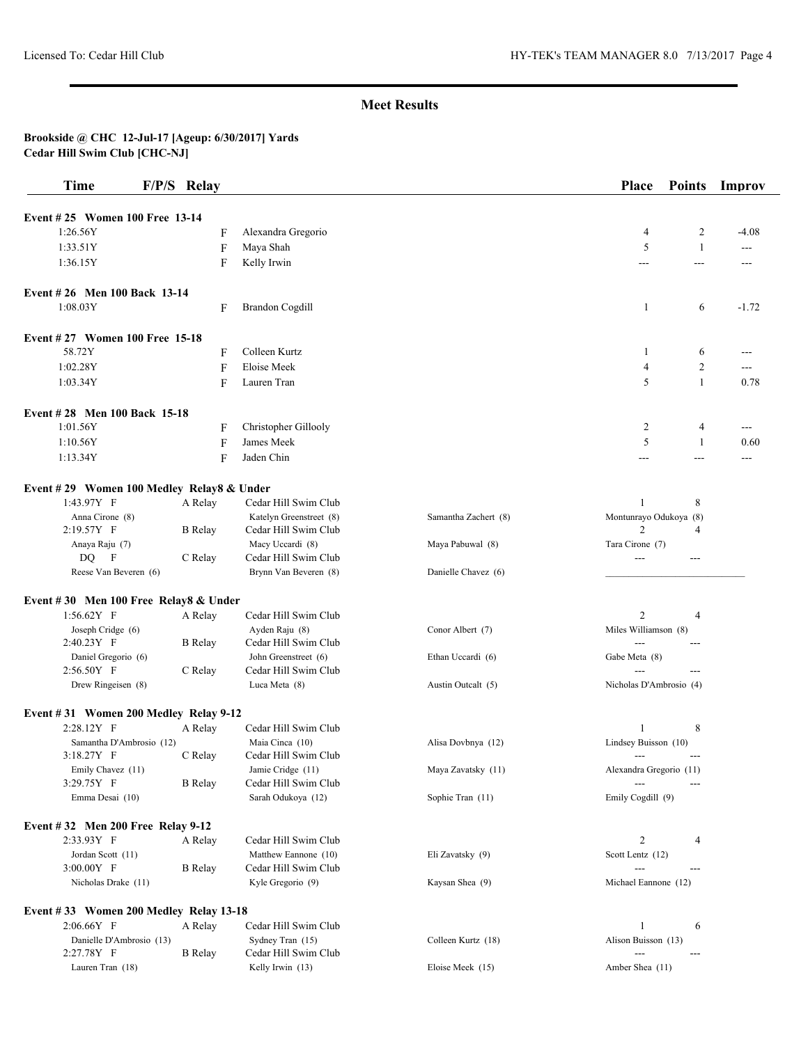| <b>Time</b>                               | F/P/S Relay |                |                                          |                      | Place                         | <b>Points</b>  | Improv  |
|-------------------------------------------|-------------|----------------|------------------------------------------|----------------------|-------------------------------|----------------|---------|
| Event #25 Women 100 Free 13-14            |             |                |                                          |                      |                               |                |         |
| 1:26.56Y                                  |             | F              | Alexandra Gregorio                       |                      | 4                             | 2              | $-4.08$ |
| 1:33.51Y                                  |             | F              | Maya Shah                                |                      | 5                             | $\mathbf{1}$   | ---     |
| 1:36.15Y                                  |             | F              | Kelly Irwin                              |                      | ---                           | $\overline{a}$ | ---     |
| Event #26 Men 100 Back 13-14              |             |                |                                          |                      |                               |                |         |
| 1:08.03Y                                  |             | F              | <b>Brandon Cogdill</b>                   |                      | 1                             | 6              | $-1.72$ |
| Event #27 Women 100 Free 15-18            |             |                |                                          |                      |                               |                |         |
| 58.72Y                                    |             | F              | Colleen Kurtz                            |                      | -1                            | 6              | ---     |
| 1:02.28Y                                  |             | F              | Eloise Meek                              |                      | $\overline{4}$                | 2              | ---     |
| 1:03.34Y                                  |             | F              | Lauren Tran                              |                      | 5                             | $\mathbf{1}$   | 0.78    |
| Event #28 Men 100 Back 15-18              |             |                |                                          |                      |                               |                |         |
| 1:01.56Y                                  |             | F              | Christopher Gillooly                     |                      | 2                             | 4              | $---$   |
| 1:10.56Y                                  |             | F              | James Meek                               |                      | 5                             | $\mathbf{1}$   | 0.60    |
| 1:13.34Y                                  |             | F              | Jaden Chin                               |                      | ---                           | $---$          |         |
| Event #29 Women 100 Medley Relay8 & Under |             |                |                                          |                      |                               |                |         |
| 1:43.97Y F                                |             | A Relay        | Cedar Hill Swim Club                     |                      | 1                             | 8              |         |
| Anna Cirone (8)                           |             |                | Katelyn Greenstreet (8)                  | Samantha Zachert (8) | Montunrayo Odukoya (8)        |                |         |
| 2:19.57Y F                                |             | <b>B</b> Relay | Cedar Hill Swim Club                     |                      | $\overline{c}$                | 4              |         |
| Anaya Raju (7)<br>DQ F                    |             | C Relay        | Macy Uccardi (8)<br>Cedar Hill Swim Club | Maya Pabuwal (8)     | Tara Cirone (7)<br>---        | $---$          |         |
| Reese Van Beveren (6)                     |             |                | Brynn Van Beveren (8)                    | Danielle Chavez (6)  |                               |                |         |
| Event #30 Men 100 Free Relay8 & Under     |             |                |                                          |                      |                               |                |         |
| $1:56.62Y$ F                              |             | A Relay        | Cedar Hill Swim Club                     |                      | $\overline{c}$                | 4              |         |
| Joseph Cridge (6)                         |             |                | Ayden Raju (8)                           | Conor Albert (7)     | Miles Williamson (8)          |                |         |
| 2:40.23Y F                                |             | <b>B</b> Relay | Cedar Hill Swim Club                     |                      |                               | ---            |         |
| Daniel Gregorio (6)                       |             |                | John Greenstreet (6)                     | Ethan Uccardi (6)    | Gabe Meta (8)                 |                |         |
| 2:56.50Y F                                |             | C Relay        | Cedar Hill Swim Club                     |                      | $---$                         |                |         |
| Drew Ringeisen (8)                        |             |                | Luca Meta (8)                            | Austin Outcalt (5)   | Nicholas D'Ambrosio (4)       |                |         |
| Event #31 Women 200 Medley Relay 9-12     |             |                |                                          |                      |                               |                |         |
| 2:28.12Y F                                |             | A Relay        | Cedar Hill Swim Club                     |                      | 1                             | 8              |         |
| Samantha D'Ambrosio (12)<br>3:18.27Y F    |             | C Relay        | Maia Cinca (10)<br>Cedar Hill Swim Club  | Alisa Dovbnya (12)   | Lindsey Buisson (10)<br>$---$ | ---            |         |
| Emily Chavez (11)                         |             |                | Jamie Cridge (11)                        | Maya Zavatsky (11)   | Alexandra Gregorio (11)       |                |         |
| 3:29.75Y F                                |             | <b>B</b> Relay | Cedar Hill Swim Club                     |                      |                               | ---            |         |
| Emma Desai (10)                           |             |                | Sarah Odukoya (12)                       | Sophie Tran (11)     | Emily Cogdill (9)             |                |         |
| Event $\#32$ Men 200 Free Relay 9-12      |             |                |                                          |                      |                               |                |         |
| 2:33.93Y F                                |             | A Relay        | Cedar Hill Swim Club                     |                      | $\overline{2}$                | 4              |         |
| Jordan Scott (11)                         |             |                | Matthew Eannone (10)                     | Eli Zavatsky (9)     | Scott Lentz (12)              |                |         |
| 3:00.00Y F                                |             | <b>B</b> Relay | Cedar Hill Swim Club                     |                      | $---$                         | ---            |         |
| Nicholas Drake (11)                       |             |                | Kyle Gregorio (9)                        | Kaysan Shea (9)      | Michael Eannone (12)          |                |         |
| Event #33 Women 200 Medley Relay 13-18    |             |                |                                          |                      |                               |                |         |
| 2:06.66Y F                                |             | A Relay        | Cedar Hill Swim Club                     |                      | 1                             | 6              |         |
| Danielle D'Ambrosio (13)                  |             |                | Sydney Tran (15)                         | Colleen Kurtz (18)   | Alison Buisson (13)           |                |         |
| 2:27.78Y F                                |             | <b>B</b> Relay | Cedar Hill Swim Club                     |                      | $\overline{a}$                | ---            |         |
| Lauren Tran (18)                          |             |                | Kelly Irwin (13)                         | Eloise Meek (15)     | Amber Shea (11)               |                |         |